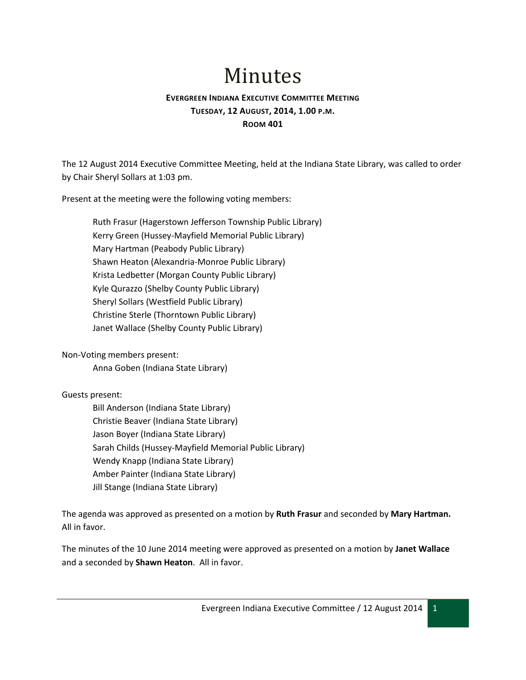# Minutes

## **EVERGREEN INDIANA EXECUTIVE COMMITTEE MEETING TUESDAY, 12 AUGUST, 2014, 1.00 P.M. ROOM 401**

The 12 August 2014 Executive Committee Meeting, held at the Indiana State Library, was called to order by Chair Sheryl Sollars at 1:03 pm.

Present at the meeting were the following voting members:

Ruth Frasur (Hagerstown Jefferson Township Public Library) Kerry Green (Hussey-Mayfield Memorial Public Library) Mary Hartman (Peabody Public Library) Shawn Heaton (Alexandria-Monroe Public Library) Krista Ledbetter (Morgan County Public Library) Kyle Qurazzo (Shelby County Public Library) Sheryl Sollars (Westfield Public Library) Christine Sterle (Thorntown Public Library) Janet Wallace (Shelby County Public Library)

Non-Voting members present:

Anna Goben (Indiana State Library)

### Guests present:

Bill Anderson (Indiana State Library) Christie Beaver (Indiana State Library) Jason Boyer (Indiana State Library) Sarah Childs (Hussey-Mayfield Memorial Public Library) Wendy Knapp (Indiana State Library) Amber Painter (Indiana State Library) Jill Stange (Indiana State Library)

The agenda was approved as presented on a motion by **Ruth Frasur** and seconded by **Mary Hartman.** All in favor.

The minutes of the 10 June 2014 meeting were approved as presented on a motion by **Janet Wallace** and a seconded by **Shawn Heaton**. All in favor.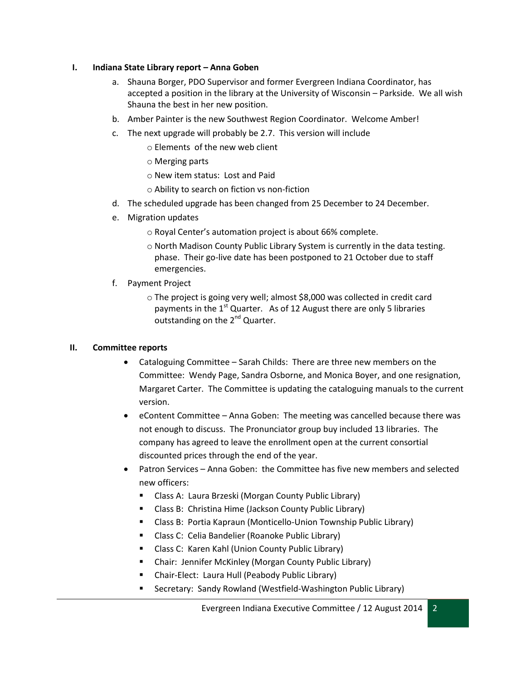#### **I. Indiana State Library report – Anna Goben**

- a. Shauna Borger, PDO Supervisor and former Evergreen Indiana Coordinator, has accepted a position in the library at the University of Wisconsin – Parkside. We all wish Shauna the best in her new position.
- b. Amber Painter is the new Southwest Region Coordinator. Welcome Amber!
- c. The next upgrade will probably be 2.7. This version will include
	- o Elements of the new web client
	- o Merging parts
	- o New item status: Lost and Paid
	- o Ability to search on fiction vs non-fiction
- d. The scheduled upgrade has been changed from 25 December to 24 December.
- e. Migration updates
	- o Royal Center's automation project is about 66% complete.
	- o North Madison County Public Library System is currently in the data testing. phase. Their go-live date has been postponed to 21 October due to staff emergencies.
- f. Payment Project
	- o The project is going very well; almost \$8,000 was collected in credit card payments in the  $1<sup>st</sup>$  Quarter. As of 12 August there are only 5 libraries outstanding on the 2<sup>nd</sup> Quarter.

### **II. Committee reports**

- Cataloguing Committee Sarah Childs: There are three new members on the Committee: Wendy Page, Sandra Osborne, and Monica Boyer, and one resignation, Margaret Carter. The Committee is updating the cataloguing manuals to the current version.
- eContent Committee Anna Goben: The meeting was cancelled because there was not enough to discuss. The Pronunciator group buy included 13 libraries. The company has agreed to leave the enrollment open at the current consortial discounted prices through the end of the year.
- Patron Services Anna Goben: the Committee has five new members and selected new officers:
	- Class A: Laura Brzeski (Morgan County Public Library)
	- Class B: Christina Hime (Jackson County Public Library)
	- Class B: Portia Kapraun (Monticello-Union Township Public Library)
	- **E** Class C: Celia Bandelier (Roanoke Public Library)
	- **E** Class C: Karen Kahl (Union County Public Library)
	- Chair: Jennifer McKinley (Morgan County Public Library)
	- Chair-Elect: Laura Hull (Peabody Public Library)
	- Secretary: Sandy Rowland (Westfield-Washington Public Library)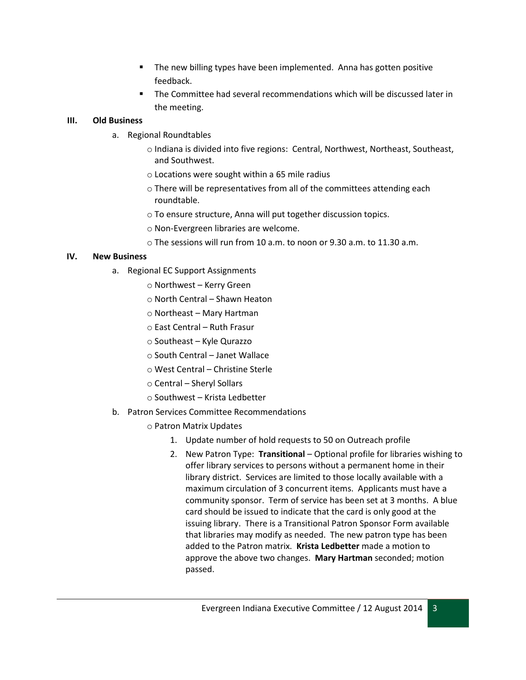- The new billing types have been implemented. Anna has gotten positive feedback.
- The Committee had several recommendations which will be discussed later in the meeting.

## **III. Old Business**

- a. Regional Roundtables
	- o Indiana is divided into five regions: Central, Northwest, Northeast, Southeast, and Southwest.
	- o Locations were sought within a 65 mile radius
	- o There will be representatives from all of the committees attending each roundtable.
	- o To ensure structure, Anna will put together discussion topics.
	- o Non-Evergreen libraries are welcome.
	- o The sessions will run from 10 a.m. to noon or 9.30 a.m. to 11.30 a.m.

## **IV. New Business**

- a. Regional EC Support Assignments
	- o Northwest Kerry Green
	- o North Central Shawn Heaton
	- o Northeast Mary Hartman
	- o East Central Ruth Frasur
	- o Southeast Kyle Qurazzo
	- o South Central Janet Wallace
	- o West Central Christine Sterle
	- o Central Sheryl Sollars
	- o Southwest Krista Ledbetter
- b. Patron Services Committee Recommendations
	- o Patron Matrix Updates
		- 1. Update number of hold requests to 50 on Outreach profile
		- 2. New Patron Type: **Transitional** Optional profile for libraries wishing to offer library services to persons without a permanent home in their library district. Services are limited to those locally available with a maximum circulation of 3 concurrent items. Applicants must have a community sponsor. Term of service has been set at 3 months. A blue card should be issued to indicate that the card is only good at the issuing library. There is a Transitional Patron Sponsor Form available that libraries may modify as needed. The new patron type has been added to the Patron matrix. **Krista Ledbetter** made a motion to approve the above two changes. **Mary Hartman** seconded; motion passed.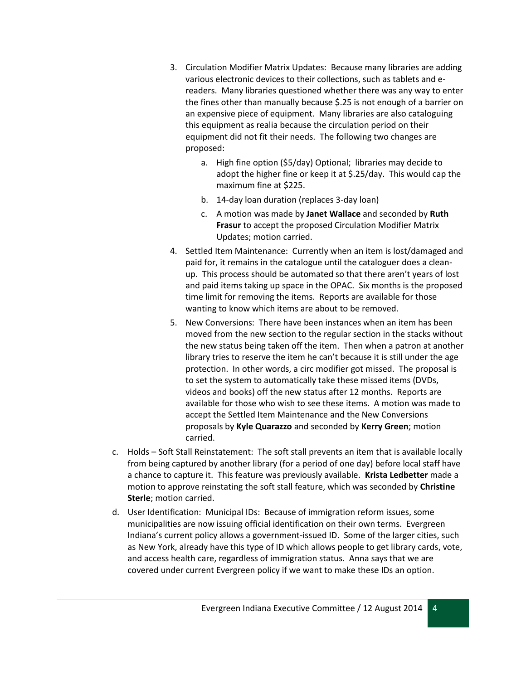- 3. Circulation Modifier Matrix Updates: Because many libraries are adding various electronic devices to their collections, such as tablets and ereaders. Many libraries questioned whether there was any way to enter the fines other than manually because \$.25 is not enough of a barrier on an expensive piece of equipment. Many libraries are also cataloguing this equipment as realia because the circulation period on their equipment did not fit their needs. The following two changes are proposed:
	- a. High fine option (\$5/day) Optional; libraries may decide to adopt the higher fine or keep it at \$.25/day. This would cap the maximum fine at \$225.
	- b. 14-day loan duration (replaces 3-day loan)
	- c. A motion was made by **Janet Wallace** and seconded by **Ruth Frasur** to accept the proposed Circulation Modifier Matrix Updates; motion carried.
- 4. Settled Item Maintenance: Currently when an item is lost/damaged and paid for, it remains in the catalogue until the cataloguer does a cleanup. This process should be automated so that there aren't years of lost and paid items taking up space in the OPAC. Six months is the proposed time limit for removing the items. Reports are available for those wanting to know which items are about to be removed.
- 5. New Conversions: There have been instances when an item has been moved from the new section to the regular section in the stacks without the new status being taken off the item. Then when a patron at another library tries to reserve the item he can't because it is still under the age protection. In other words, a circ modifier got missed. The proposal is to set the system to automatically take these missed items (DVDs, videos and books) off the new status after 12 months. Reports are available for those who wish to see these items. A motion was made to accept the Settled Item Maintenance and the New Conversions proposals by **Kyle Quarazzo** and seconded by **Kerry Green**; motion carried.
- c. Holds Soft Stall Reinstatement: The soft stall prevents an item that is available locally from being captured by another library (for a period of one day) before local staff have a chance to capture it. This feature was previously available. **Krista Ledbetter** made a motion to approve reinstating the soft stall feature, which was seconded by **Christine Sterle**; motion carried.
- d. User Identification: Municipal IDs: Because of immigration reform issues, some municipalities are now issuing official identification on their own terms. Evergreen Indiana's current policy allows a government-issued ID. Some of the larger cities, such as New York, already have this type of ID which allows people to get library cards, vote, and access health care, regardless of immigration status. Anna says that we are covered under current Evergreen policy if we want to make these IDs an option.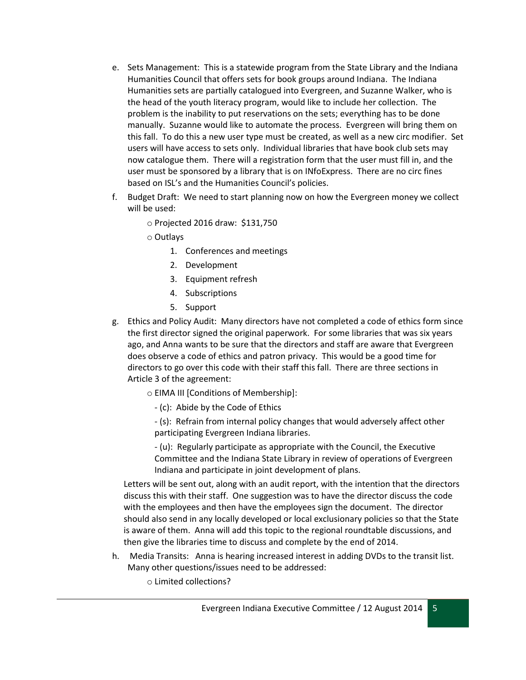- e. Sets Management: This is a statewide program from the State Library and the Indiana Humanities Council that offers sets for book groups around Indiana. The Indiana Humanities sets are partially catalogued into Evergreen, and Suzanne Walker, who is the head of the youth literacy program, would like to include her collection. The problem is the inability to put reservations on the sets; everything has to be done manually. Suzanne would like to automate the process. Evergreen will bring them on this fall. To do this a new user type must be created, as well as a new circ modifier. Set users will have access to sets only. Individual libraries that have book club sets may now catalogue them. There will a registration form that the user must fill in, and the user must be sponsored by a library that is on INfoExpress. There are no circ fines based on ISL's and the Humanities Council's policies.
- f. Budget Draft: We need to start planning now on how the Evergreen money we collect will be used:
	- o Projected 2016 draw: \$131,750
	- o Outlays
		- 1. Conferences and meetings
		- 2. Development
		- 3. Equipment refresh
		- 4. Subscriptions
		- 5. Support
- g. Ethics and Policy Audit: Many directors have not completed a code of ethics form since the first director signed the original paperwork. For some libraries that was six years ago, and Anna wants to be sure that the directors and staff are aware that Evergreen does observe a code of ethics and patron privacy. This would be a good time for directors to go over this code with their staff this fall. There are three sections in Article 3 of the agreement:
	- o EIMA III [Conditions of Membership]:
		- (c): Abide by the Code of Ethics
		- (s): Refrain from internal policy changes that would adversely affect other participating Evergreen Indiana libraries.

- (u): Regularly participate as appropriate with the Council, the Executive Committee and the Indiana State Library in review of operations of Evergreen Indiana and participate in joint development of plans.

Letters will be sent out, along with an audit report, with the intention that the directors discuss this with their staff. One suggestion was to have the director discuss the code with the employees and then have the employees sign the document. The director should also send in any locally developed or local exclusionary policies so that the State is aware of them. Anna will add this topic to the regional roundtable discussions, and then give the libraries time to discuss and complete by the end of 2014.

- h. Media Transits: Anna is hearing increased interest in adding DVDs to the transit list. Many other questions/issues need to be addressed:
	- o Limited collections?